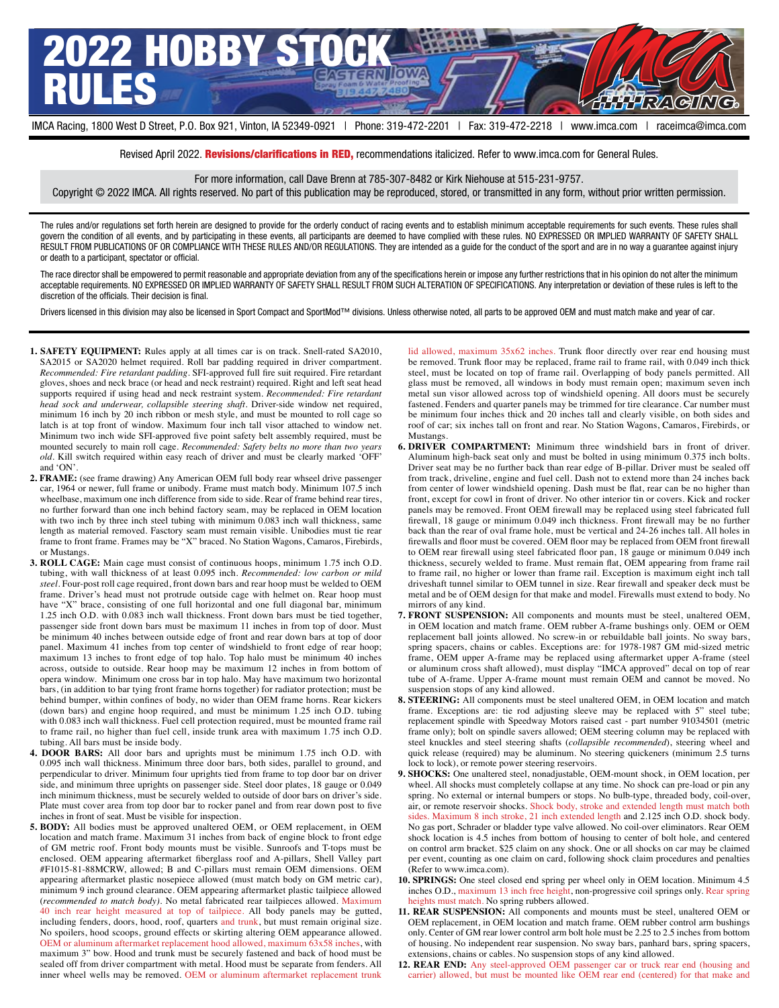

Revised April 2022. **Revisions/clarifications in RED**, recommendations italicized. Refer to www.imca.com for General Rules.

For more information, call Dave Brenn at 785-307-8482 or Kirk Niehouse at 515-231-9757.

Copyright © 2022 IMCA. All rights reserved. No part of this publication may be reproduced, stored, or transmitted in any form, without prior written permission.

The rules and/or regulations set forth herein are designed to provide for the orderly conduct of racing events and to establish minimum acceptable requirements for such events. These rules shall govern the condition of all events, and by participating in these events, all participants are deemed to have complied with these rules. NO EXPRESSED OR IMPLIED WARRANTY OF SAFETY SHALL RESULT FROM PUBLICATIONS OF OR COMPLIANCE WITH THESE RULES AND/OR REGULATIONS. They are intended as a guide for the conduct of the sport and are in no way a guarantee against injury or death to a participant, spectator or official.

The race director shall be empowered to permit reasonable and appropriate deviation from any of the specifications herein or impose any further restrictions that in his opinion do not alter the minimum acceptable requirements. NO EXPRESSED OR IMPLIED WARRANTY OF SAFETY SHALL RESULT FROM SUCH ALTERATION OF SPECIFICATIONS. Any interpretation or deviation of these rules is left to the discretion of the officials. Their decision is final.

Drivers licensed in this division may also be licensed in Sport Compact and SportMod™ divisions. Unless otherwise noted, all parts to be approved OEM and must match make and year of car.

- **1. SAFETY EQUIPMENT:** Rules apply at all times car is on track. Snell-rated SA2010, SA2015 or SA2020 helmet required. Roll bar padding required in driver compartment. *Recommended: Fire retardant padding*. SFI-approved full fire suit required. Fire retardant gloves, shoes and neck brace (or head and neck restraint) required. Right and left seat head supports required if using head and neck restraint system. *Recommended: Fire retardant head sock and underwear, collapsible steering shaft*. Driver-side window net required, minimum 16 inch by 20 inch ribbon or mesh style, and must be mounted to roll cage so latch is at top front of window. Maximum four inch tall visor attached to window net. Minimum two inch wide SFI-approved five point safety belt assembly required, must be mounted securely to main roll cage. *Recommended: Safety belts no more than two years old*. Kill switch required within easy reach of driver and must be clearly marked 'OFF' and 'ON'.
- **2. FRAME:** (see frame drawing) Any American OEM full body rear whseel drive passenger car, 1964 or newer, full frame or unibody. Frame must match body. Minimum 107.5 inch wheelbase, maximum one inch difference from side to side. Rear of frame behind rear tires, no further forward than one inch behind factory seam, may be replaced in OEM location with two inch by three inch steel tubing with minimum 0.083 inch wall thickness, same length as material removed. Fasctory seam must remain visible. Unibodies must tie rear frame to front frame. Frames may be "X" braced. No Station Wagons, Camaros, Firebirds, or Mustangs.
- **3. ROLL CAGE:** Main cage must consist of continuous hoops, minimum 1.75 inch O.D. tubing, with wall thickness of at least 0.095 inch. *Recommended: low carbon or mild steel*. Four-post roll cage required, front down bars and rear hoop must be welded to OEM frame. Driver's head must not protrude outside cage with helmet on. Rear hoop must have "X" brace, consisting of one full horizontal and one full diagonal bar, minimum 1.25 inch O.D. with 0.083 inch wall thickness. Front down bars must be tied together, passenger side front down bars must be maximum 11 inches in from top of door. Must be minimum 40 inches between outside edge of front and rear down bars at top of door panel. Maximum 41 inches from top center of windshield to front edge of rear hoop; maximum 13 inches to front edge of top halo. Top halo must be minimum 40 inches across, outside to outside. Rear hoop may be maximum 12 inches in from bottom of opera window. Minimum one cross bar in top halo. May have maximum two horizontal bars, (in addition to bar tying front frame horns together) for radiator protection; must be behind bumper, within confines of body, no wider than OEM frame horns. Rear kickers (down bars) and engine hoop required, and must be minimum 1.25 inch O.D. tubing with 0.083 inch wall thickness. Fuel cell protection required, must be mounted frame rail to frame rail, no higher than fuel cell, inside trunk area with maximum 1.75 inch O.D. tubing. All bars must be inside body.
- **4. DOOR BARS:** All door bars and uprights must be minimum 1.75 inch O.D. with 0.095 inch wall thickness. Minimum three door bars, both sides, parallel to ground, and perpendicular to driver. Minimum four uprights tied from frame to top door bar on driver side, and minimum three uprights on passenger side. Steel door plates, 18 gauge or 0.049 inch minimum thickness, must be securely welded to outside of door bars on driver's side. Plate must cover area from top door bar to rocker panel and from rear down post to five inches in front of seat. Must be visible for inspection.
- **5. BODY:** All bodies must be approved unaltered OEM, or OEM replacement, in OEM location and match frame. Maximum 31 inches from back of engine block to front edge of GM metric roof. Front body mounts must be visible. Sunroofs and T-tops must be enclosed. OEM appearing aftermarket fiberglass roof and A-pillars, Shell Valley part #F1015-81-88MCRW, allowed; B and C-pillars must remain OEM dimensions. OEM appearing aftermarket plastic nosepiece allowed (must match body on GM metric car), minimum 9 inch ground clearance. OEM appearing aftermarket plastic tailpiece allowed (*recommended to match body)*. No metal fabricated rear tailpieces allowed. Maximum 40 inch rear height measured at top of tailpiece. All body panels may be gutted, including fenders, doors, hood, roof, quarters and trunk, but must remain original size. No spoilers, hood scoops, ground effects or skirting altering OEM appearance allowed. OEM or aluminum aftermarket replacement hood allowed, maximum 63x58 inches, with maximum 3" bow. Hood and trunk must be securely fastened and back of hood must be sealed off from driver compartment with metal. Hood must be separate from fenders. All inner wheel wells may be removed. OEM or aluminum aftermarket replacement trunk

lid allowed, maximum 35x62 inches. Trunk floor directly over rear end housing must be removed. Trunk floor may be replaced, frame rail to frame rail, with 0.049 inch thick steel, must be located on top of frame rail. Overlapping of body panels permitted. All glass must be removed, all windows in body must remain open; maximum seven inch metal sun visor allowed across top of windshield opening. All doors must be securely fastened. Fenders and quarter panels may be trimmed for tire clearance. Car number must be minimum four inches thick and 20 inches tall and clearly visible, on both sides and roof of car; six inches tall on front and rear. No Station Wagons, Camaros, Firebirds, or **Mustangs** 

- **6. DRIVER COMPARTMENT:** Minimum three windshield bars in front of driver. Aluminum high-back seat only and must be bolted in using minimum 0.375 inch bolts. Driver seat may be no further back than rear edge of B-pillar. Driver must be sealed off from track, driveline, engine and fuel cell. Dash not to extend more than 24 inches back from center of lower windshield opening. Dash must be flat, rear can be no higher than front, except for cowl in front of driver. No other interior tin or covers. Kick and rocker panels may be removed. Front OEM firewall may be replaced using steel fabricated full firewall, 18 gauge or minimum 0.049 inch thickness. Front firewall may be no further back than the rear of oval frame hole, must be vertical and 24-26 inches tall. All holes in firewalls and floor must be covered. OEM floor may be replaced from OEM front firewall to OEM rear firewall using steel fabricated floor pan, 18 gauge or minimum 0.049 inch thickness, securely welded to frame. Must remain flat, OEM appearing from frame rail to frame rail, no higher or lower than frame rail. Exception is maximum eight inch tall driveshaft tunnel similar to OEM tunnel in size. Rear firewall and speaker deck must be metal and be of OEM design for that make and model. Firewalls must extend to body. No mirrors of any kind.
- **7. FRONT SUSPENSION:** All components and mounts must be steel, unaltered OEM, in OEM location and match frame. OEM rubber A-frame bushings only. OEM or OEM replacement ball joints allowed. No screw-in or rebuildable ball joints. No sway bars, spring spacers, chains or cables. Exceptions are: for 1978-1987 GM mid-sized metric frame, OEM upper A-frame may be replaced using aftermarket upper A-frame (steel or aluminum cross shaft allowed), must display "IMCA approved" decal on top of rear tube of A-frame. Upper A-frame mount must remain OEM and cannot be moved. No suspension stops of any kind allowed.
- **8. STEERING:** All components must be steel unaltered OEM, in OEM location and match frame. Exceptions are: tie rod adjusting sleeve may be replaced with 5" steel tube; replacement spindle with Speedway Motors raised cast - part number 91034501 (metric frame only); bolt on spindle savers allowed; OEM steering column may be replaced with steel knuckles and steel steering shafts (*collapsible recommended*), steering wheel and quick release (required) may be aluminum. No steering quickeners (minimum 2.5 turns lock to lock), or remote power steering reservoirs.
- **9. SHOCKS:** One unaltered steel, nonadjustable, OEM-mount shock, in OEM location, per wheel. All shocks must completely collapse at any time. No shock can pre-load or pin any spring. No external or internal bumpers or stops. No bulb-type, threaded body, coil-over, air, or remote reservoir shocks. Shock body, stroke and extended length must match both sides. Maximum 8 inch stroke, 21 inch extended length and 2.125 inch O.D. shock body. No gas port, Schrader or bladder type valve allowed. No coil-over eliminators. Rear OEM shock location is 4.5 inches from bottom of housing to center of bolt hole, and centered on control arm bracket. \$25 claim on any shock. One or all shocks on car may be claimed per event, counting as one claim on card, following shock claim procedures and penalties (Refer to www.imca.com).
- **10. SPRINGS:** One steel closed end spring per wheel only in OEM location. Minimum 4.5 inches O.D., maximum 13 inch free height, non-progressive coil springs only. Rear spring heights must match. No spring rubbers allowed.
- **11. REAR SUSPENSION:** All components and mounts must be steel, unaltered OEM or OEM replacement, in OEM location and match frame. OEM rubber control arm bushings only. Center of GM rear lower control arm bolt hole must be 2.25 to 2.5 inches from bottom of housing. No independent rear suspension. No sway bars, panhard bars, spring spacers, extensions, chains or cables. No suspension stops of any kind allowed.
- **12. REAR END:** Any steel-approved OEM passenger car or truck rear end (housing and carrier) allowed, but must be mounted like OEM rear end (centered) for that make and